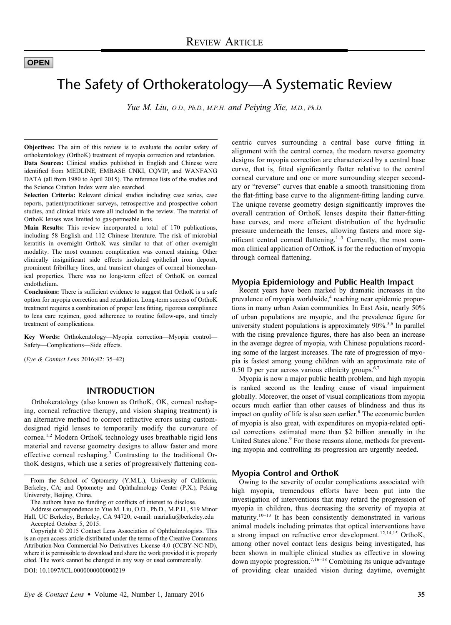# **OPEN**

# The Safety of Orthokeratology—A Systematic Review

Yue M. Liu, O.D., Ph.D., M.P.H. and Peiying Xie, M.D., Ph.D.

Objectives: The aim of this review is to evaluate the ocular safety of orthokeratology (OrthoK) treatment of myopia correction and retardation. Data Sources: Clinical studies published in English and Chinese were identified from MEDLINE, EMBASE CNKI, CQVIP, and WANFANG DATA (all from 1980 to April 2015). The reference lists of the studies and the Science Citation Index were also searched.

Selection Criteria: Relevant clinical studies including case series, case reports, patient/practitioner surveys, retrospective and prospective cohort studies, and clinical trials were all included in the review. The material of OrthoK lenses was limited to gas-permeable lens.

Main Results: This review incorporated a total of 170 publications, including 58 English and 112 Chinese literature. The risk of microbial keratitis in overnight OrthoK was similar to that of other overnight modality. The most common complication was corneal staining. Other clinically insignificant side effects included epithelial iron deposit, prominent fribrillary lines, and transient changes of corneal biomechanical properties. There was no long-term effect of OrthoK on corneal endothelium.

Conclusions: There is sufficient evidence to suggest that OrthoK is a safe option for myopia correction and retardation. Long-term success of OrthoK treatment requires a combination of proper lens fitting, rigorous compliance to lens care regimen, good adherence to routine follow-ups, and timely treatment of complications.

Key Words: Orthokeratology—Myopia correction—Myopia control— Safety—Complications—Side effects.

(Eye & Contact Lens 2016;42: 35–42)

# INTRODUCTION

Orthokeratology (also known as OrthoK, OK, corneal reshaping, corneal refractive therapy, and vision shaping treatment) is an alternative method to correct refractive errors using customdesigned rigid lenses to temporarily modify the curvature of cornea.<sup>1,2</sup> Modern OrthoK technology uses breathable rigid lens material and reverse geometry designs to allow faster and more effective corneal reshaping.<sup>3</sup> Contrasting to the traditional OrthoK designs, which use a series of progressively flattening con-

From the School of Optometry (Y.M.L.), University of California, Berkeley, CA; and Optometry and Ophthalmology Center (P.X.), Peking University, Beijing, China.

The authors have no funding or conflicts of interest to disclose.

Address correspondence to Yue M. Liu, O.D., Ph.D., M.P.H., 519 Minor Hall, UC Berkeley, Berkeley, CA 94720; e-mail: [marialiu@berkeley.edu](mailto:marialiu@berkeley.edu) Accepted October 5, 2015.

Copyright  $©$  2015 Contact Lens Association of Ophthalmologists. This is an open access article distributed under the terms of the [Creative Commons](http://creativecommons.org/licenses/by-nc-nd/4.0/) [Attribution-Non Commercial-No Derivatives License 4.0 \(CCBY-NC-ND\)](http://creativecommons.org/licenses/by-nc-nd/4.0/), where it is permissible to download and share the work provided it is properly cited. The work cannot be changed in any way or used commercially.

DOI: 10.1097/ICL.0000000000000219

centric curves surrounding a central base curve fitting in alignment with the central cornea, the modern reverse geometry designs for myopia correction are characterized by a central base curve, that is, fitted significantly flatter relative to the central corneal curvature and one or more surrounding steeper secondary or "reverse" curves that enable a smooth transitioning from the flat-fitting base curve to the alignment-fitting landing curve. The unique reverse geometry design significantly improves the overall centration of OrthoK lenses despite their flatter-fitting base curves, and more efficient distribution of the hydraulic pressure underneath the lenses, allowing fasters and more significant central corneal flattening.<sup>1–3</sup> Currently, the most common clinical application of OrthoK is for the reduction of myopia through corneal flattening.

#### Myopia Epidemiology and Public Health Impact

Recent years have been marked by dramatic increases in the prevalence of myopia worldwide,<sup>4</sup> reaching near epidemic proportions in many urban Asian communities. In East Asia, nearly 50% of urban populations are myopic, and the prevalence figure for university student populations is approximately 90%.<sup>5,6</sup> In parallel with the rising prevalence figures, there has also been an increase in the average degree of myopia, with Chinese populations recording some of the largest increases. The rate of progression of myopia is fastest among young children with an approximate rate of  $0.50$  D per year across various ethnicity groups.<sup>6,7</sup>

Myopia is now a major public health problem, and high myopia is ranked second as the leading cause of visual impairment globally. Moreover, the onset of visual complications from myopia occurs much earlier than other causes of blindness and thus its impact on quality of life is also seen earlier.<sup>8</sup> The economic burden of myopia is also great, with expenditures on myopia-related optical corrections estimated more than \$2 billion annually in the United States alone.<sup>9</sup> For those reasons alone, methods for preventing myopia and controlling its progression are urgently needed.

#### Myopia Control and OrthoK

Owing to the severity of ocular complications associated with high myopia, tremendous efforts have been put into the investigation of interventions that may retard the progression of myopia in children, thus decreasing the severity of myopia at maturity.<sup>10–13</sup> It has been consistently demonstrated in various animal models including primates that optical interventions have a strong impact on refractive error development.<sup>12,14,15</sup> OrthoK, among other novel contact lens designs being investigated, has been shown in multiple clinical studies as effective in slowing down myopic progression.7,16–<sup>18</sup> Combining its unique advantage of providing clear unaided vision during daytime, overnight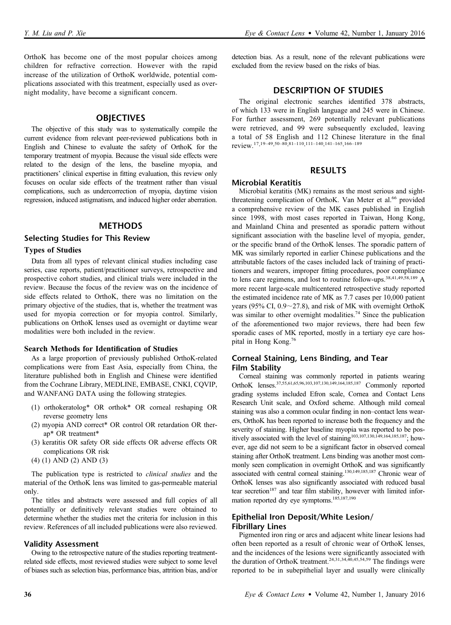OrthoK has become one of the most popular choices among children for refractive correction. However with the rapid increase of the utilization of OrthoK worldwide, potential complications associated with this treatment, especially used as overnight modality, have become a significant concern.

#### **OBJECTIVES**

The objective of this study was to systematically compile the current evidence from relevant peer-reviewed publications both in English and Chinese to evaluate the safety of OrthoK for the temporary treatment of myopia. Because the visual side effects were related to the design of the lens, the baseline myopia, and practitioners' clinical expertise in fitting evaluation, this review only focuses on ocular side effects of the treatment rather than visual complications, such as undercorrection of myopia, daytime vision regression, induced astigmatism, and induced higher order aberration.

## METHODS

## Selecting Studies for This Review

#### Types of Studies

Data from all types of relevant clinical studies including case series, case reports, patient/practitioner surveys, retrospective and prospective cohort studies, and clinical trials were included in the review. Because the focus of the review was on the incidence of side effects related to OrthoK, there was no limitation on the primary objective of the studies, that is, whether the treatment was used for myopia correction or for myopia control. Similarly, publications on OrthoK lenses used as overnight or daytime wear modalities were both included in the review.

#### Search Methods for Identification of Studies

As a large proportion of previously published OrthoK-related complications were from East Asia, especially from China, the literature published both in English and Chinese were identified from the Cochrane Library, MEDLINE, EMBASE, CNKI, CQVIP, and WANFANG DATA using the following strategies.

- (1) orthokeratolog\* OR orthok\* OR corneal reshaping OR reverse geometry lens
- (2) myopia AND correct\* OR control OR retardation OR therap\* OR treatment\*
- (3) keratitis OR safety OR side effects OR adverse effects OR complications OR risk
- (4) (1) AND (2) AND (3)

The publication type is restricted to *clinical studies* and the material of the OrthoK lens was limited to gas-permeable material only.

The titles and abstracts were assessed and full copies of all potentially or definitively relevant studies were obtained to determine whether the studies met the criteria for inclusion in this review. References of all included publications were also reviewed.

#### Validity Assessment

Owing to the retrospective nature of the studies reporting treatmentrelated side effects, most reviewed studies were subject to some level of biases such as selection bias, performance bias, attrition bias, and/or detection bias. As a result, none of the relevant publications were excluded from the review based on the risks of bias.

# DESCRIPTION OF STUDIES

The original electronic searches identified 378 abstracts, of which 133 were in English language and 245 were in Chinese. For further assessment, 269 potentially relevant publications were retrieved, and 99 were subsequently excluded, leaving a total of 58 English and 112 Chinese literature in the final review.17,19–49,50–80,81–110,111–140,141–165,166–<sup>189</sup>

# RESULTS

#### Microbial Keratitis

Microbial keratitis (MK) remains as the most serious and sightthreatening complication of OrthoK. Van Meter et al.<sup>66</sup> provided a comprehensive review of the MK cases published in English since 1998, with most cases reported in Taiwan, Hong Kong, and Mainland China and presented as sporadic pattern without significant association with the baseline level of myopia, gender, or the specific brand of the OrthoK lenses. The sporadic pattern of MK was similarly reported in earlier Chinese publications and the attributable factors of the cases included lack of training of practitioners and wearers, improper fitting procedures, poor compliance to lens care regimens, and lost to routine follow-ups.<sup>38,41,49,58,189</sup> A more recent large-scale multicentered retrospective study reported the estimated incidence rate of MK as 7.7 cases per 10,000 patient years (95% CI,  $0.9 \sim 27.8$ ), and risk of MK with overnight OrthoK was similar to other overnight modalities.<sup>74</sup> Since the publication of the aforementioned two major reviews, there had been few sporadic cases of MK reported, mostly in a tertiary eye care hospital in Hong Kong.76

## Corneal Staining, Lens Binding, and Tear Film Stability

Corneal staining was commonly reported in patients wearing OrthoK lenses.37,55,61,65,96,103,107,130,149,164,185,187 Commonly reported grading systems included Efron scale, Cornea and Contact Lens Research Unit scale, and Oxford scheme. Although mild corneal staining was also a common ocular finding in non–contact lens wearers, OrthoK has been reported to increase both the frequency and the severity of staining. Higher baseline myopia was reported to be positively associated with the level of staining<sup>103,107,130,149,164,185,187</sup>; however, age did not seem to be a significant factor in observed corneal staining after OrthoK treatment. Lens binding was another most commonly seen complication in overnight OrthoK and was significantly associated with central corneal staining.130,149,185,187 Chronic wear of OrthoK lenses was also significantly associated with reduced basal tear secretion<sup>187</sup> and tear film stability, however with limited information reported dry eye symptoms.185,187,190

# Epithelial Iron Deposit/White Lesion/ Fibrillary Lines

Pigmented iron ring or arcs and adjacent white linear lesions had often been reported as a result of chronic wear of OrthoK lenses, and the incidences of the lesions were significantly associated with the duration of OrthoK treatment.<sup>24,31,34,40,45,54,59</sup> The findings were reported to be in subepithelial layer and usually were clinically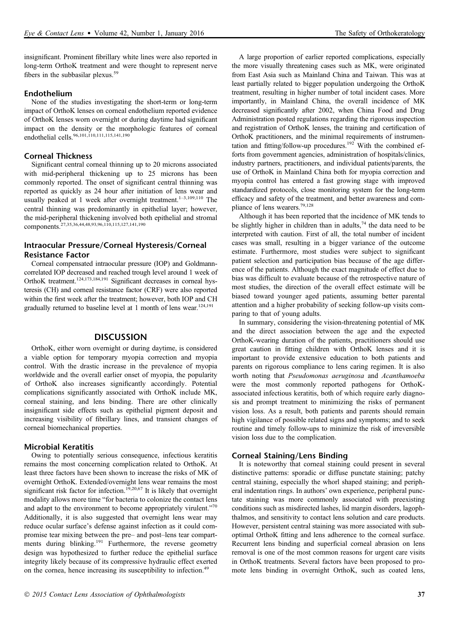insignificant. Prominent fibrillary white lines were also reported in long-term OrthoK treatment and were thought to represent nerve fibers in the subbasilar plexus.<sup>59</sup>

#### Endothelium

None of the studies investigating the short-term or long-term impact of OrthoK lenses on corneal endothelium reported evidence of OrthoK lenses worn overnight or during daytime had significant impact on the density or the morphologic features of corneal endothelial cells.<sup>96,101,110,111,115,141,190</sup>

## Corneal Thickness

Significant central corneal thinning up to 20 microns associated with mid-peripheral thickening up to 25 microns has been commonly reported. The onset of significant central thinning was reported as quickly as 24 hour after initiation of lens wear and usually peaked at 1 week after overnight treatment.<sup>1-3,109,110</sup> The central thinning was predominantly in epithelial layer; however, the mid-peripheral thickening involved both epithelial and stromal components.27,35,36,44,48,93,96,110,115,127,141,190

## Intraocular Pressure/Corneal Hysteresis/Corneal Resistance Factor

Corneal compensated intraocular pressure (IOP) and Goldmanncorrelated IOP decreased and reached trough level around 1 week of OrthoK treatment.<sup>124,173,184,191</sup> Significant decreases in corneal hysteresis (CH) and corneal resistance factor (CRF) were also reported within the first week after the treatment; however, both IOP and CH gradually returned to baseline level at 1 month of lens wear.<sup>124,191</sup>

### **DISCUSSION**

OrthoK, either worn overnight or during daytime, is considered a viable option for temporary myopia correction and myopia control. With the drastic increase in the prevalence of myopia worldwide and the overall earlier onset of myopia, the popularity of OrthoK also increases significantly accordingly. Potential complications significantly associated with OrthoK include MK, corneal staining, and lens binding. There are other clinically insignificant side effects such as epithelial pigment deposit and increasing visibility of fibrillary lines, and transient changes of corneal biomechanical properties.

## Microbial Keratitis

Owing to potentially serious consequence, infectious keratitis remains the most concerning complication related to OrthoK. At least three factors have been shown to increase the risks of MK of overnight OrthoK. Extended/overnight lens wear remains the most significant risk factor for infection.<sup>19,20,67</sup> It is likely that overnight modality allows more time "for bacteria to colonize the contact lens and adapt to the environment to become appropriately virulent."<sup>70</sup> Additionally, it is also suggested that overnight lens wear may reduce ocular surface's defense against infection as it could compromise tear mixing between the pre– and post–lens tear compartments during blinking.<sup>191</sup> Furthermore, the reverse geometry design was hypothesized to further reduce the epithelial surface integrity likely because of its compressive hydraulic effect exerted on the cornea, hence increasing its susceptibility to infection.<sup>49</sup>

A large proportion of earlier reported complications, especially the more visually threatening cases such as MK, were originated from East Asia such as Mainland China and Taiwan. This was at least partially related to bigger population undergoing the OrthoK treatment, resulting in higher number of total incident cases. More importantly, in Mainland China, the overall incidence of MK decreased significantly after 2002, when China Food and Drug Administration posted regulations regarding the rigorous inspection and registration of OrthoK lenses, the training and certification of OrthoK practitioners, and the minimal requirements of instrumentation and fitting/follow-up procedures.<sup>192</sup> With the combined efforts from government agencies, administration of hospitals/clinics, industry partners, practitioners, and individual patients/parents, the use of OrthoK in Mainland China both for myopia correction and myopia control has entered a fast growing stage with improved standardized protocols, close monitoring system for the long-term efficacy and safety of the treatment, and better awareness and compliance of lens wearers.79,128

Although it has been reported that the incidence of MK tends to be slightly higher in children than in adults,<sup>74</sup> the data need to be interpreted with caution. First of all, the total number of incident cases was small, resulting in a bigger variance of the outcome estimate. Furthermore, most studies were subject to significant patient selection and participation bias because of the age difference of the patients. Although the exact magnitude of effect due to bias was difficult to evaluate because of the retrospective nature of most studies, the direction of the overall effect estimate will be biased toward younger aged patients, assuming better parental attention and a higher probability of seeking follow-up visits comparing to that of young adults.

In summary, considering the vision-threatening potential of MK and the direct association between the age and the expected OrthoK-wearing duration of the patients, practitioners should use great caution in fitting children with OrthoK lenses and it is important to provide extensive education to both patients and parents on rigorous compliance to lens caring regimen. It is also worth noting that Pseudomonas aeruginosa and Acanthamoeba were the most commonly reported pathogens for OrthoKassociated infectious keratitis, both of which require early diagnosis and prompt treatment to minimizing the risks of permanent vision loss. As a result, both patients and parents should remain high vigilance of possible related signs and symptoms; and to seek routine and timely follow-ups to minimize the risk of irreversible vision loss due to the complication.

#### Corneal Staining/Lens Binding

It is noteworthy that corneal staining could present in several distinctive patterns: sporadic or diffuse punctate staining; patchy central staining, especially the whorl shaped staining; and peripheral indentation rings. In authors' own experience, peripheral punctate staining was more commonly associated with preexisting conditions such as misdirected lashes, lid margin disorders, lagophthalmos, and sensitivity to contact lens solution and care products. However, persistent central staining was more associated with suboptimal OrthoK fitting and lens adherence to the corneal surface. Recurrent lens binding and superficial corneal abrasion on lens removal is one of the most common reasons for urgent care visits in OrthoK treatments. Several factors have been proposed to promote lens binding in overnight OrthoK, such as coated lens,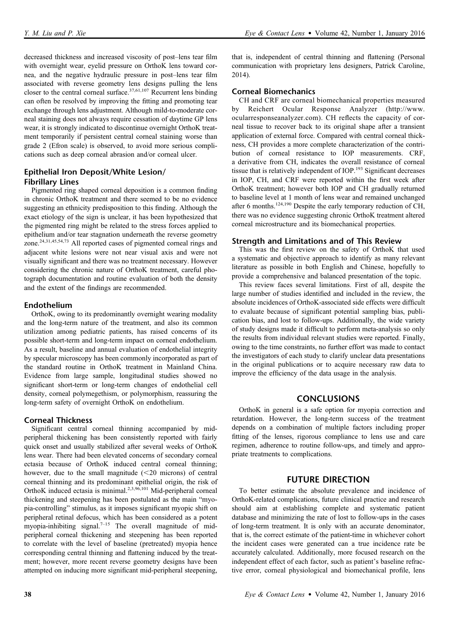decreased thickness and increased viscosity of post–lens tear film with overnight wear, eyelid pressure on OrthoK lens toward cornea, and the negative hydraulic pressure in post–lens tear film associated with reverse geometry lens designs pulling the lens closer to the central corneal surface.<sup>37,61,107</sup> Recurrent lens binding can often be resolved by improving the fitting and promoting tear exchange through lens adjustment. Although mild-to-moderate corneal staining does not always require cessation of daytime GP lens wear, it is strongly indicated to discontinue overnight OrthoK treatment temporarily if persistent central corneal staining worse than grade 2 (Efron scale) is observed, to avoid more serious complications such as deep corneal abrasion and/or corneal ulcer.

## Epithelial Iron Deposit/White Lesion/ Fibrillary Lines

Pigmented ring shaped corneal deposition is a common finding in chronic OrthoK treatment and there seemed to be no evidence suggesting an ethnicity predisposition to this finding. Although the exact etiology of the sign is unclear, it has been hypothesized that the pigmented ring might be related to the stress forces applied to epithelium and/or tear stagnation underneath the reverse geometry zone.24,31,45,54,73 All reported cases of pigmented corneal rings and adjacent white lesions were not near visual axis and were not visually significant and there was no treatment necessary. However considering the chronic nature of OrthoK treatment, careful photograph documentation and routine evaluation of both the density and the extent of the findings are recommended.

#### Endothelium

OrthoK, owing to its predominantly overnight wearing modality and the long-term nature of the treatment, and also its common utilization among pediatric patients, has raised concerns of its possible short-term and long-term impact on corneal endothelium. As a result, baseline and annual evaluation of endothelial integrity by specular microscopy has been commonly incorporated as part of the standard routine in OrthoK treatment in Mainland China. Evidence from large sample, longitudinal studies showed no significant short-term or long-term changes of endothelial cell density, corneal polymegethism, or polymorphism, reassuring the long-term safety of overnight OrthoK on endothelium.

## Corneal Thickness

Significant central corneal thinning accompanied by midperipheral thickening has been consistently reported with fairly quick onset and usually stabilized after several weeks of OrthoK lens wear. There had been elevated concerns of secondary corneal ectasia because of OrthoK induced central corneal thinning; however, due to the small magnitude  $(<20$  microns) of central corneal thinning and its predominant epithelial origin, the risk of OrthoK induced ectasia is minimal.<sup>2,3,96,101</sup> Mid-peripheral corneal thickening and steepening has been postulated as the main "myopia-controlling" stimulus, as it imposes significant myopic shift on peripheral retinal defocus, which has been considered as a potent myopia-inhibiting signal.<sup>7-15</sup> The overall magnitude of midperipheral corneal thickening and steepening has been reported to correlate with the level of baseline (pretreated) myopia hence corresponding central thinning and flattening induced by the treatment; however, more recent reverse geometry designs have been attempted on inducing more significant mid-peripheral steepening,

that is, independent of central thinning and flattening (Personal communication with proprietary lens designers, Patrick Caroline, 2014).

#### Corneal Biomechanics

CH and CRF are corneal biomechanical properties measured by Reichert Ocular Response Analyzer ([http://www.](http://www.ocularresponseanalyzer.com) [ocularresponseanalyzer.com](http://www.ocularresponseanalyzer.com)). CH reflects the capacity of corneal tissue to recover back to its original shape after a transient application of external force. Compared with central corneal thickness, CH provides a more complete characterization of the contribution of corneal resistance to IOP measurements. CRF, a derivative from CH, indicates the overall resistance of corneal tissue that is relatively independent of IOP.<sup>193</sup> Significant decreases in IOP, CH, and CRF were reported within the first week after OrthoK treatment; however both IOP and CH gradually returned to baseline level at 1 month of lens wear and remained unchanged after 6 months.124,190 Despite the early temporary reduction of CH, there was no evidence suggesting chronic OrthoK treatment altered corneal microstructure and its biomechanical properties.

#### Strength and Limitations and of This Review

This was the first review on the safety of OrthoK that used a systematic and objective approach to identify as many relevant literature as possible in both English and Chinese, hopefully to provide a comprehensive and balanced presentation of the topic.

This review faces several limitations. First of all, despite the large number of studies identified and included in the review, the absolute incidences of OrthoK-associated side effects were difficult to evaluate because of significant potential sampling bias, publication bias, and lost to follow-ups. Additionally, the wide variety of study designs made it difficult to perform meta-analysis so only the results from individual relevant studies were reported. Finally, owing to the time constraints, no further effort was made to contact the investigators of each study to clarify unclear data presentations in the original publications or to acquire necessary raw data to improve the efficiency of the data usage in the analysis.

# CONCLUSIONS

OrthoK in general is a safe option for myopia correction and retardation. However, the long-term success of the treatment depends on a combination of multiple factors including proper fitting of the lenses, rigorous compliance to lens use and care regimen, adherence to routine follow-ups, and timely and appropriate treatments to complications.

#### FUTURE DIRECTION

To better estimate the absolute prevalence and incidence of OrthoK-related complications, future clinical practice and research should aim at establishing complete and systematic patient database and minimizing the rate of lost to follow-ups in the cases of long-term treatment. It is only with an accurate denominator, that is, the correct estimate of the patient-time in whichever cohort the incident cases were generated can a true incidence rate be accurately calculated. Additionally, more focused research on the independent effect of each factor, such as patient's baseline refractive error, corneal physiological and biomechanical profile, lens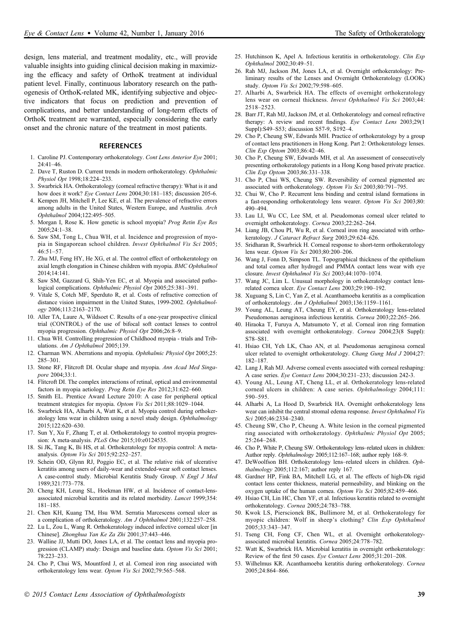design, lens material, and treatment modality, etc., will provide valuable insights into guiding clinical decision making in maximizing the efficacy and safety of OrthoK treatment at individual patient level. Finally, continuous laboratory research on the pathogenesis of OrthoK-related MK, identifying subjective and objective indicators that focus on prediction and prevention of complications, and better understanding of long-term effects of OrthoK treatment are warranted, especially considering the early onset and the chronic nature of the treatment in most patients.

#### REFERENCES

- 1. Caroline PJ. Contemporary orthokeratology. Cont Lens Anterior Eye 2001; 24:41–46.
- 2. Dave T, Ruston D. Current trends in modern orthokeratology. Ophthalmic Physiol Opt 1998;18:224–233.
- 3. Swarbrick HA. Orthokeratology (corneal refractive therapy): What is it and how does it work? Eye Contact Lens 2004;30:181–185; discussion 205-6.
- 4. Kempen JH, Mitchell P, Lee KE, et al. The prevalence of refractive errors among adults in the United States, Western Europe, and Australia. Arch Ophthalmol 2004;122:495–505.
- 5. Morgan I, Rose K. How genetic is school myopia? Prog Retin Eye Res 2005;24:1–38.
- 6. Saw SM, Tong L, Chua WH, et al. Incidence and progression of myopia in Singaporean school children. Invest Ophthalmol Vis Sci 2005; 46:51–57.
- 7. Zhu MJ, Feng HY, He XG, et al. The control effect of orthokeratology on axial length elongation in Chinese children with myopia. BMC Ophthalmol 2014;14:141.
- 8. Saw SM, Gazzard G, Shih-Yen EC, et al. Myopia and associated pathological complications. Ophthalmic Physiol Opt 2005;25:381–391.
- 9. Vitale S, Cotch MF, Sperduto R, et al. Costs of refractive correction of distance vision impairment in the United States, 1999-2002. Ophthalmology 2006;113:2163–2170.
- 10. Aller TA, Laure A, Wildsoet C. Results of a one-year prospective clinical trial (CONTROL) of the use of bifocal soft contact lenses to control myopia progression. Ophthalmic Physiol Opt 2006;26:8–9.
- 11. Chua WH. Controlling progression of Childhood myopia trials and Tribulations. Am J Ophthalmol 2005;139.
- 12. Charman WN. Aberrations and myopia. Ophthalmic Physiol Opt 2005;25: 285–301.
- 13. Stone RF, Flitcroft DI. Ocular shape and myopia. Ann Acad Med Singapore 2004;33:1.
- 14. Flitcroft DI. The complex interactions of retinal, optical and environmental factors in myopia aetiology. Prog Retin Eye Res 2012;31:622–660.
- 15. Smith EL. Prentice Award Lecture 2010: A case for peripheral optical treatment strategies for myopia. Optom Vis Sci 2011;88:1029–1044.
- 16. Swarbrick HA, Alharbi A, Watt K, et al. Myopia control during orthokeratology lens wear in children using a novel study design. Ophthalmology 2015;122:620–630.
- 17. Sun Y, Xu F, Zhang T, et al. Orthokeratology to control myopia progression: A meta-analysis. PLoS One 2015;10:e0124535.
- 18. Si JK, Tang K, Bi HS, et al. Orthokeratology for myopia control: A metaanalysis. Optom Vis Sci 2015;92:252–257.
- 19. Schein OD, Glynn RJ, Poggio EC, et al. The relative risk of ulcerative keratitis among users of daily-wear and extended-wear soft contact lenses. A case-control study. Microbial Keratitis Study Group. N Engl J Med 1989;321:773–778.
- 20. Cheng KH, Leung SL, Hoekman HW, et al. Incidence of contact-lensassociated microbial keratitis and its related morbidity. Lancet 1999;354: 181–185.
- 21. Chen KH, Kuang TM, Hsu WM. Serratia Marcescens corneal ulcer as a complication of orthokeratology. Am J Ophthalmol 2001;132:257-258.
- 22. Lu L, Zou L, Wang R. Orthokeratology induced infective corneal ulcer [in Chinese]. Zhonghua Yan Ke Za Zhi 2001;37:443–446.
- 23. Walline JJ, Mutti DO, Jones LA, et al. The contact lens and myopia progression (CLAMP) study: Design and baseline data. Optom Vis Sci 2001; 78:223–233.
- 24. Cho P, Chui WS, Mountford J, et al. Corneal iron ring associated with orthokeratology lens wear. Optom Vis Sci 2002;79:565–568.
- 25. Hutchinson K, Apel A. Infectious keratitis in orthokeratology. Clin Exp Ophthalmol 2002;30:49–51.
- 26. Rah MJ, Jackson JM, Jones LA, et al. Overnight orthokeratology: Preliminary results of the Lenses and Overnight Orthokeratology (LOOK) study. Optom Vis Sci 2002;79:598–605.
- 27. Alharbi A, Swarbrick HA. The effects of overnight orthokeratology lens wear on corneal thickness. Invest Ophthalmol Vis Sci 2003;44: 2518–2523.
- 28. Barr JT, Rah MJ, Jackson JM, et al. Orthokeratology and corneal refractive therapy: A review and recent findings. Eye Contact Lens 2003;29(1 Suppl):S49–S53; discussion S57-9, S192–4.
- 29. Cho P, Cheung SW, Edwards MH. Practice of orthokeratology by a group of contact lens practitioners in Hong Kong. Part 2: Orthokeratology lenses. Clin Exp Optom 2003;86:42–46.
- 30. Cho P, Cheung SW, Edwards MH, et al. An assessment of consecutively presenting orthokeratology patients in a Hong Kong based private practice. Clin Exp Optom 2003;86:331–338.
- 31. Cho P, Chui WS, Cheung SW. Reversibility of corneal pigmented arc associated with orthokeratology. Optom Vis Sci 2003;80:791–795.
- 32. Chui W, Cho P. Recurrent lens binding and central island formations in a fast-responding orthokeratology lens wearer. Optom Vis Sci 2003;80: 490–494.
- 33. Lau LI, Wu CC, Lee SM, et al. Pseudomonas corneal ulcer related to overnight orthokeratology. Cornea 2003;22:262–264.
- 34. Liang JB, Chou PI, Wu R, et al. Corneal iron ring associated with orthokeratology. J Cataract Refract Surg 2003;29:624–626.
- 35. Sridharan R, Swarbrick H. Corneal response to short-term orthokeratology lens wear. Optom Vis Sci 2003;80:200–206.
- 36. Wang J, Fonn D, Simpson TL. Topographical thickness of the epithelium and total cornea after hydrogel and PMMA contact lens wear with eye closure. Invest Ophthalmol Vis Sci 2003;44:1070–1074.
- 37. Wang JC, Lim L. Unusual morphology in orthokeratology contact lensrelated cornea ulcer. Eye Contact Lens 2003;29:190–192.
- 38. Xuguang S, Lin C, Yan Z, et al. Acanthamoeba keratitis as a complication of orthokeratology. Am J Ophthalmol 2003;136:1159–1161.
- 39. Young AL, Leung AT, Cheung EY, et al. Orthokeratology lens-related Pseudomonas aeruginosa infectious keratitis. Cornea 2003;22:265–266.
- 40. Hiraoka T, Furuya A, Matsumoto Y, et al. Corneal iron ring formation associated with overnight orthokeratology. Cornea 2004;23(8 Suppl): S78–S81.
- 41. Hsiao CH, Yeh LK, Chao AN, et al. Pseudomonas aeruginosa corneal ulcer related to overnight orthokeratology. Chang Gung Med J 2004;27: 182–187.
- 42. Lang J, Rah MJ. Adverse corneal events associated with corneal reshaping: A case series. Eye Contact Lens 2004;30:231–233; discussion 242-3.
- 43. Young AL, Leung AT, Cheng LL, et al. Orthokeratology lens-related corneal ulcers in children: A case series. Ophthalmology 2004;111: 590–595.
- 44. Alharbi A, La Hood D, Swarbrick HA. Overnight orthokeratology lens wear can inhibit the central stromal edema response. Invest Ophthalmol Vis Sci 2005;46:2334–2340.
- 45. Cheung SW, Cho P, Cheung A. White lesion in the corneal pigmented ring associated with orthokeratology. Ophthalmic Physiol Opt 2005; 25:264–268.
- 46. Cho P, White P, Cheung SW. Orthokeratology lens–related ulcers in children: Author reply. Ophthalmology 2005;112:167–168; author reply 168–9.
- 47. DeWoolfson BH. Orthokeratology lens–related ulcers in children. Ophthalmology 2005;112:167; author reply 167.
- 48. Gardner HP, Fink BA, Mitchell LG, et al. The effects of high-Dk rigid contact lens center thickness, material permeability, and blinking on the oxygen uptake of the human cornea. Optom Vis Sci 2005;82:459–466.
- 49. Hsiao CH, Lin HC, Chen YF, et al. Infectious keratitis related to overnight orthokeratology. Cornea 2005;24:783–788.
- 50. Kwok LS, Pierscionek BK, Bullimore M, et al. Orthokeratology for myopic children: Wolf in sheep's clothing? Clin Exp Ophthalmol 2005;33:343–347.
- 51. Tseng CH, Fong CF, Chen WL, et al. Overnight orthokeratologyassociated microbial keratitis. Cornea 2005;24:778–782.
- 52. Watt K, Swarbrick HA. Microbial keratitis in overnight orthokeratology: Review of the first 50 cases. Eye Contact Lens 2005;31:201–208.
- 53. Wilhelmus KR. Acanthamoeba keratitis during orthokeratology. Cornea 2005;24:864–866.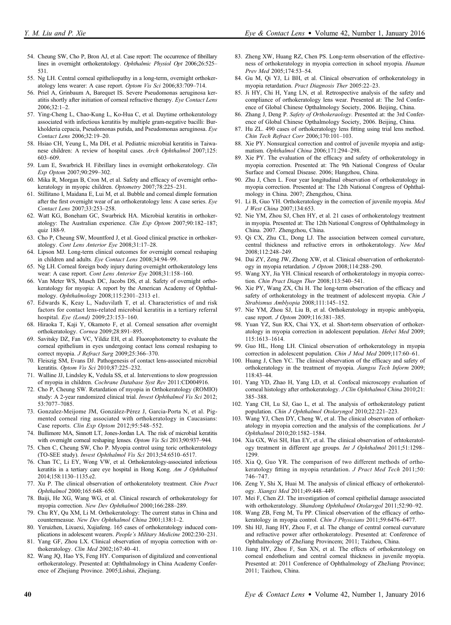- 54. Cheung SW, Cho P, Bron AJ, et al. Case report: The occurrence of fibrillary lines in overnight orthokeratology. Ophthalmic Physiol Opt 2006;26:525– 531.
- 55. Ng LH. Central corneal epitheliopathy in a long-term, overnight orthokeratology lens wearer: A case report. Optom Vis Sci 2006;83:709–714.
- 56. Priel A, Grinbaum A, Barequet IS. Severe Pseudomonas aeruginosa keratitis shortly after initiation of corneal refractive therapy. Eye Contact Lens  $2006:32:1-2$
- 57. Ying-Cheng L, Chao-Kung L, Ko-Hua C, et al. Daytime orthokeratology associated with infectious keratitis by multiple gram-negative bacilli: Burkholderia cepacia, Pseudomonas putida, and Pseudomonas aeruginosa. Eye Contact Lens 2006;32:19–20.
- 58. Hsiao CH, Yeung L, Ma DH, et al. Pediatric microbial keratitis in Taiwanese children: A review of hospital cases. Arch Ophthalmol 2007;125: 603–609.
- 59. Lum E, Swarbrick H. Fibrillary lines in overnight orthokeratology. Clin Exp Optom 2007;90:299–302.
- 60. Mika R, Morgan B, Cron M, et al. Safety and efficacy of overnight orthokeratology in myopic children. Optometry 2007;78:225–231.
- 61. Stillitano I, Maidana E, Lui M, et al. Bubble and corneal dimple formation after the first overnight wear of an orthokeratology lens: A case series. Eye Contact Lens 2007;33:253–258.
- 62. Watt KG, Boneham GC, Swarbrick HA. Microbial keratitis in orthokeratology: The Australian experience. Clin Exp Optom 2007;90:182–187; quiz 188-9.
- 63. Cho P, Cheung SW, Mountford J, et al. Good clinical practice in orthokeratology. Cont Lens Anterior Eye 2008;31:17–28.
- 64. Lipson MJ. Long-term clinical outcomes for overnight corneal reshaping in children and adults. Eye Contact Lens 2008;34:94–99.
- 65. Ng LH. Corneal foreign body injury during overnight orthokeratology lens wear: A case report. Cont Lens Anterior Eye 2008;31:158–160.
- 66. Van Meter WS, Musch DC, Jacobs DS, et al. Safety of overnight orthokeratology for myopia: A report by the American Academy of Ophthalmology. Ophthalmology 2008;115:2301–2313 e1.
- 67. Edwards K, Keay L, Naduvilath T, et al. Characteristics of and risk factors for contact lens-related microbial keratitis in a tertiary referral hospital. Eye (Lond) 2009;23:153–160.
- 68. Hiraoka T, Kaji Y, Okamoto F, et al. Corneal sensation after overnight orthokeratology. Cornea 2009;28:891–895.
- 69. Savitsky DZ, Fan VC, Yildiz EH, et al. Fluorophotometry to evaluate the corneal epithelium in eyes undergoing contact lens corneal reshaping to correct myopia. J Refract Surg 2009;25:366-370.
- 70. Fleiszig SM, Evans DJ. Pathogenesis of contact lens-associated microbial keratitis. Optom Vis Sci 2010;87:225–232.
- 71. Walline JJ, Lindsley K, Vedula SS, et al. Interventions to slow progression of myopia in children. Cochrane Database Syst Rev 2011:CD004916.
- 72. Cho P, Cheung SW. Retardation of myopia in Orthokeratology (ROMIO) study: A 2-year randomized clinical trial. Invest Ophthalmol Vis Sci 2012; 53:7077–7085.
- 73. Gonzalez-Meijome JM, González-Pérez J, Garcia-Porta N, et al. Pigmented corneal ring associated with orthokeratology in Caucasians: Case reports. Clin Exp Optom 2012;95:548–552.
- 74. Bullimore MA, Sinnott LT, Jones-Jordan LA. The risk of microbial keratitis with overnight corneal reshaping lenses. Optom Vis Sci 2013;90:937-944.
- 75. Chen C, Cheung SW, Cho P. Myopia control using toric orthokeratology (TO-SEE study). Invest Ophthalmol Vis Sci 2013;54:6510–6517.
- 76. Chan TC, Li EY, Wong VW, et al. Orthokeratology-associated infectious keratitis in a tertiary care eye hospital in Hong Kong. Am J Ophthalmol 2014;158:1130–1135.e2.
- 77. Xu P. The clinical observation of orthokeratoloty treatment. Chin Pract Ophthalmol 2000;165:648–650.
- 78. Baiji, He XG, Wang WG, et al. Clinical research of orthokeratology for myopia correction. New Dev Ophthalmol 2000;166:288–289.
- 79. Chu RY, Qu XM, Li M. Orthokeratology: The current status in China and countermeasue. New Dev Ophthalmol China 2001;138:1-2.
- 80. Yeruizhen, Lixuexi, Xujiafeng. 165 cases of orthokeratology induced complications in adolescent wearers. People's Military Medicine 2002:230–231.
- 81. Yang GF, Zhou LX. Clinical observation of myopia correction with orthokeratology. Clin Med 2002;167:40–41.
- 82. Wang JQ, Hao YS, Feng HY. Comparison of digitalized and conventional orthokeratology. Presented at: Ophthalmology in China Academy Conference of Zhejiang Province. 2005;Lishui, Zhejiang.
- 83. Zheng XW, Huang RZ, Chen PS. Long-term observation of the effectiveness of orthokeratology in myopia correction in school myopia. Huanan Prev Med 2005;174:53–54.
- 84. Gu M, Qi YJ, Li BH, et al. Clinical observation of orthokeratology in myopia retardation. Pract Diagnosis Ther 2005:22–23.
- 85. Ji HY, Chi H, Yang LN, et al. Retrospective analysis of the safety and compliance of orthokeratology lens wear. Presented at: The 3rd Conference of Global Chinese Opthalmology Society, 2006. Beijing, China.
- 86. Zhang J, Deng P. Safety of Orthokeraology. Presented at: the 3rd Conference of Global Chinese Opthalmology Society, 2006. Beijing, China.
- 87. Hu ZL. 490 cases of orthokeratology lens fitting using trial lens method. Chin Tech Refract Corr 2006;170:101–103.
- 88. Xie PY. Nonsurgical correction and control of juvenile myopia and astigmatism. Ophthalmol China 2006;171:294–298.
- 89. Xie PY. The evaluation of the efficacy and safety of orthokeratology in myopia correction. Presented at: The 9th National Congress of Ocular Surface and Corneal Disease. 2006; Hangzhou, China.
- 90. Zhu J, Chen L. Four year longitudinal observation of orthokeratology in myopia correction. Presented at: The 12th National Congress of Ophthalmology in China. 2007; Zhengzhou, China.
- 91. Li B, Guo YH. Orthokeratology in the correction of juvenile myopia. Med J West China 2007;134:653.
- 92. Nie YM, Zhou SJ, Chen HY, et al. 21 cases of orthokeratology treatment in myopia. Presented at: The 12th National Congress of Ophthalmology in China. 2007. Zhengzhou, China.
- 93. Qi CX, Zhu CL, Dong LJ. The association between corneal curvature, central thickness and refractive errors in orthokeratology. New Med 2008;112:248–249.
- 94. Dai ZY, Zeng JW, Zhong XW, et al. Clinical observation of orthokeratology in myopia retardation. J Optom 2008;114:288–290.
- 95. Wang XY, Jia YH. Clinical research of orthokeratology in myopia correction. Chin Pract Diagn Ther 2008;113:540–541.
- 96. Xie PY, Wang ZX, Chi H. The long-term observation of the efficacy and safety of orthokeratology in the treatment of adolescent myopia. Chin J Strabismus Amblyopia 2008;111:145–152.
- 97. Nie YM, Zhou SJ, Liu B, et al. Orthokeratology in myopic amblyopia, case report. J Optom 2009;116:381–385.
- 98. Yuan YZ, Sun RX, Chai YX, et al. Short-term observation of orthokeratology in myopia correction in adolescent population. Hebei Med 2009; 115:1613–1614.
- 99. Guo HL, Hong LH. Clinical observation of orthokeratology in myopia correction in adolescent population. Chin J Mod Med 2009;117:60–61.
- 100. Huang J, Chen YC. The clinical observation of the efficacy and safety of orthokeratology in the treatment of myopia. Jiangsu Tech Inform 2009; 118:43–44.
- 101. Yang YD, Zhao H, Yang LD, et al. Confocal microscopy evaluation of corneal histology after orthokeratology. J Clin Ophthalmol China 2010;21: 385–388.
- 102. Yang CH, Lu SJ, Gao L, et al. The analysis of orthokeratology patient population. Chin J Ophthalmol Otolaryngol 2010;22:221–223.
- 103. Wang YJ, Chen DY, Cheng W, et al. The clinical observaton of orthokeratology in myopia correction and the analysis of the complications. Int J Ophthalmol 2010;20:1582–1584.
- 104. Xia GX, Wei SH, Han EY, et al. The clinical observation of orhtokeratology treatment in different age groups. Int J Ophthalmol 2011;51:1298– 1299.
- 105. Xia Q, Guo YR. The comparison of two different methods of orthokeratology fitting in myopia retardation. J Pract Med Tech 2011;50: 746–747.
- 106. Zeng Y, Shi X, Huai M. The analysis of clinical efficacy of orthokeratology. Xiangxi Med 2011;49:448–449.
- 107. Mei F, Chen ZJ. The investigation of corneal epithelial damage associated with orthokeratology. Shandong Ophthalmol Otolarygol 2011;52:90–92.
- 108. Wang ZB, Feng M, Tu PP. Clinical observation of the efficacy of orthokeratology in myopia control. Chin J Physicians 2011;59:6476–6477.
- 109. Shi HJ, Jiang HY, Zhou F, et al. The change of central corneal curvature and refractive power after orthokeratology. Presented at: Conference of Ophthalmology of ZheJiang Provincem; 2011; Taizhou, China.
- 110. Jiang HY, Zhou F, Sun XN, et al. The effects of orthokeratology on corneal endothelium and central corneal thickness in juvenile myopia. Presented at: 2011 Conference of Ophthalmology of ZheJiang Province; 2011; Taizhou, China.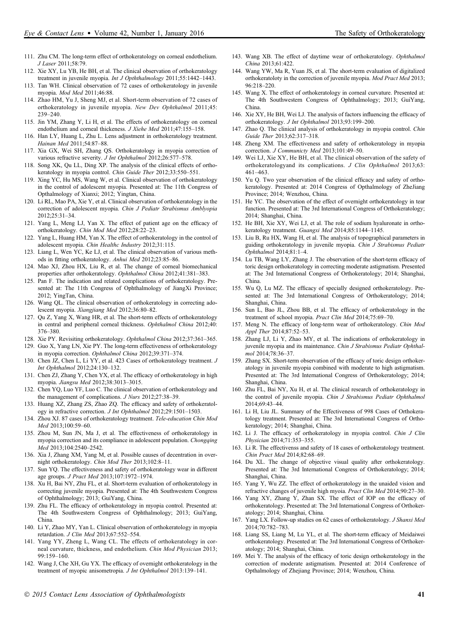- 111. Zhu CM. The long-term effect of orthokeratology on corneal endothelium. J Laser 2011;58:79.
- 112. Xie XY, Lu YB, He BH, et al. The clinical observation of orthokeratology treatment in juvenile myopia. Int J Opththalmology 2011;55:1442-1443.
- 113. Tan WH. Clinical observation of 72 cases of orthokeratology in juvenile myopia. Mod Med 2011;46:88.
- 114. Zhao HM, Yu J, Sheng MJ, et al. Short-term observation of 72 cases of orthokeratology in juvenile myopia. New Dev Ophthalmol 2011;45: 239–240.
- 115. Jin YM, Zhang Y, Li H, et al. The effects of orthokeratology on corneal endothelium and corneal thickeness. J Xiehe Med 2011;47:155–158.
- 116. Han LY, Huang L, Zhu L. Lens adjustment in orthokeratology treatment. Hainan Med 2011;54:87–88.
- 117. Xia GX, Wei SH, Zhang QS. Orthokeratology in myopia correction of various refractive severity. J Int Ophthalmol 2012;26:577-578.
- 118. Song XK, Qu LL, Ding XP. The analysis of the clinical effects of orthokeratology in myopia control. Chin Guide Ther 2012;33:550–551.
- 119. Xing YC, Hu MS, Wang W, et al. Clinical observation of orthokeratology in the control of adolescent myopia. Presented at: The 11th Congress of Opthalmology of Xianxi; 2012; Yingtan, China.
- 120. Li RL, Mao PA, Xie Y, et al. Clinical observation of orthokeratology in the correction of adolescent myopia. Chin J Pediatr Strabismus Amblyopia 2012;25:31–34.
- 121. Yang L, Meng LJ, Yan X. The effect of patient age on the efficacy of orthokeratology. Chin Mod Med 2012;28:22–23.
- 122. Yang L, Huang HM, Yan X. The effect of orthokeratology in the control of adolescent myopia. Chin Healthc Industry 2012;31:115.
- 123. Liang L, Wen YC, Ke LJ, et al. The clinical observation of various methods in fitting orthokeratology. Anhui Med 2012;23:85–86.
- 124. Mao XJ, Zhou HX, Liu R, et al. The change of corneal biomechanical properties after orthokeratology. Ophthalmol China 2012;41:381–383.
- 125. Pan F. The indication and related complications of orthokeratology. Presented at: The 11th Congress of Ophthalmology of JiangXi Province; 2012; YingTan, China.
- 126. Wang QL. The clinical observation of orthokeratology in correcting adolescent myopia. Xiangjiang Med 2012;36:80–82.
- 127. Qu Z, Yang X, Wang HR, et al. The short-term effects of orthokeratology in central and peripheral corneal thickness. Ophthalmol China 2012;40: 376–380.
- 128. Xie PY. Revisiting orthokeratology. Ophthalmol China 2012;37:361–365.
- 129. Guo X, Yang LN, Xie PY. The long-term effectiveness of orthokeratology in myopia correction. Ophthalmol China 2012;39:371-374.
- 130. Chen JZ, Chen L, Li YY, et al. 423 Cases of orthokeratology treatment. J Int Ophthalmol 2012;24:130–132.
- 131. Chen ZJ, Zhang Y, Chen YX, et al. The efficacy of orthokeratology in high myopia. Jiangsu Med 2012;38:3013–3015.
- 132. Chen YQ, Luo YF, Luo C. The clinical observation of orthokeratology and the management of complications. J Nurs 2012;27:38-39.
- 133. Huang XZ, Zhang ZS, Zhao ZQ. The efficacy and safety of orthokeratology in refractive correction. J Int Ophthalmol 2012;29:1501–1503.
- 134. Zhou XJ. 87 cases of orthokeratology treatment. Tele-education Chin Mod Med 2013;100:59–60.
- 135. Zhou M, Sun JN, Ma J, et al. The effectiveness of orthokeratology in myopia correction and its compliance in adolescent population. Chongqing Med 2013;104:2540–2542.
- 136. Xia J, Zhang XM, Yang M, et al. Possible causes of decentration in overnight orthokeratology. Chin Mod Ther 2013;102:8–11.
- 137. Sun YQ. The effectiveness and safety of orthokeratology wear in different age groups. J Pract Med 2013;107:1972–1974.
- 138. Xu H, Bai NY, Zhu FL, et al. Short-term evaluation of orthokeratology in correcting juvenile myopia. Presented at: The 4th Southwestern Congress of Ophthalmology; 2013; GuiYang, China.
- 139. Zhu FL. The efficacy of orthokeratology in myopia control. Presented at: The 4th Southwestern Congress of Ophthalmology; 2013; GuiYang, China.
- 140. Li Y, Zhao MY, Yan L. Clinical observation of orthokeratology in myopia retardation. J Clin Med 2013;67:552–554.
- 141. Yang YY, Zheng L, Wang CL. The effects of orthokeratology in corneal curvature, thickness, and endothelium. Chin Mod Physician 2013; 99:159–160.
- 142. Wang J, Che XH, Gu YX. The efficacy of overnight orthokeratology in the treatment of myopic anisometropia. J Int Ophthalmol 2013:139–141.
- 
- 
- 

- 143. Wang XB. The effect of daytime wear of orthokeratology. Ophthalmol China 2013;61:422.
- 144. Wang YW, Ma R, Yuan JS, et al. The short-term evaluation of digitalized orthokeratoloty in the correction of juvenile myopia. Mod Pract Med 2013; 96:218–220.
- 145. Wang X. The effect of orthokeratology in corneal curvature. Presented at: The 4th Southwestern Congress of Ophthalmology; 2013; GuiYang, China.
- 146. Xie XY, He BH, Wei LJ. The analysis of factors influencing the efficacy of orthokeratology. J Int Ophthalmol 2013;93:199–200.
- 147. Zhao Q. The clinical analysis of orthokeratology in myopia control. Chin Guide Ther 2013;62:317–318.
- 148. Zheng XM. The effectiveness and safety of orthokeratology in myopia correction. J Communicty Med 2013;101:49–50.
- 149. Wei LJ, Xie XY, He BH, et al. The clinical observation of the safety of orthokeratologyand its complications. J Clin Ophthalmol 2013;63: 461–463.
- 150. Yu Q. Two year observation of the clinical efficacy and safety of orthokeratology. Presented at: 2014 Congress of Opthalmology of ZheJiang Province; 2014; Wenzhou, China.
- 151. He YC. The observation of the effect of overnight orthokeratology in tear function. Presented at: The 3rd International Congress of Orthokeratology; 2014; Shanghai, China.
- 152. He BH, Xie XY, Wei LJ, et al. The role of sodium hyaluronate in orthokeratology treatment. Guangxi Med 2014;85:1144–1145.
- 153. Liu B, Ru HX, Wang H, et al. The analysis of topographical parameters in guiding orthokeratology in juvenile myopia. Chin J Strabismus Pediatr Ophthalmol 2014;81:1–4.
- 154. Lu TB, Wang LY, Zhang J. The observation of the short-term efficacy of toric design orthokeratology in correcting moderate astigmatism. Presented at: The 3rd International Congress of Orthokeratology; 2014; Shanghai, China.
- 155. Wu Q, Lu MZ. The efficacy of specially designed orthokeratology. Presented at: The 3rd International Congress of Orthokeratology; 2014; Shanghai, China.
- 156. Sun L, Bao JL, Zhou BB, et al. The efficacy of orthokeratology in the treatment of school myopia. Pract Clin Med 2014;75:69–70.
- 157. Meng N. The efficacy of long-term wear of orthokeratology. Chin Mod Appl Ther 2014;87:52–53.
- 158. Zhang LJ, Li Y, Zhao MY, et al. The indications of orthokeratology in juvenile myopia and its maintenance. Chin J Strabismus Pediatr Ophthalmol 2014;78:36–37.
- 159. Zhang SX. Short-term observation of the efficacy of toric design orthokeratology in juvenile myopia combined with moderate to high astigmatism. Presented at: The 3rd International Congress of Orthokeratology; 2014; Shanghai, China.
- 160. Zhu FL, Bai NY, Xu H, et al. The clinical research of orthokeratology in the control of juvenile myopia. Chin J Strabismus Pediatr Ophthalmol 2014;69:43–44.
- 161. Li H, Liu JL. Summary of the Effectiveness of 998 Cases of Orthokeratology treatment. Presented at: The 3rd International Congress of Orthokeratology; 2014; Shanghai, China.
- 162. Li J. The efficacy of orthokeratology in myopia control. Chin J Clin Physician 2014;71:353–355.
- 163. Li R. The effectivenss and safety of 18 cases of orthokeratology treatment. Chin Pract Med 2014;82:68–69.
- 164. Du XL. The change of objective visual quality after orthokeratology. Presented at: The 3rd International Congress of Orthokeratology; 2014; Shanghai, China.
- 165. Yang Y, Wu ZZ. The effect of orthokeratology in the unaided vision and refractive changes of juvenile high myoia. Pract Clin Med 2014;90:27–30.
- 166. Yang XY, Zhang Y, Zhan SX. The effect of IOP on the efficacy of orthokeratology. Presented at: The 3rd International Congress of Orthokeratology; 2014; Shanghai, China.
- 167. Yang LX. Follow-up studies on 62 cases of orthokeratology. J Shanxi Med 2014;70:782–783.
- 168. Liang SS, Liang M, Lu YL, et al. The short-term efficacy of Meidaiwei orthokeratology. Presented at: The 3rd International Congress of Orthokeratology; 2014; Shanghai, China.
- 169. Mei Y. The analysis of the efficacy of toric design orthokeratology in the correction of moderate astigmatism. Presented at: 2014 Conference of Opthalmology of Zhejiang Province; 2014; Wenzhou, China.